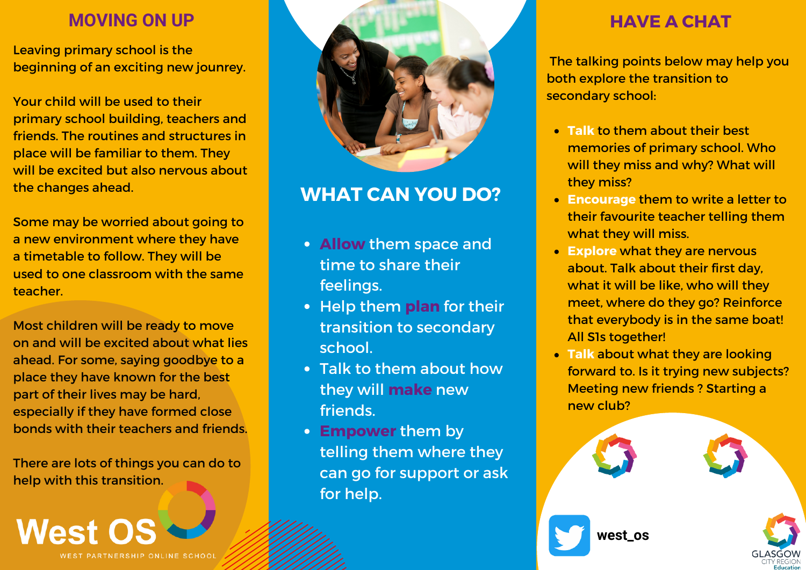Leaving primary school is the beginning of an exciting new jounrey.

Your child will be used to their primary school building, teachers and friends. The routines and structures in place will be familiar to them. They will be excited but also nervous about the changes ahead.

Some may be worried about going to a new environment where they have a timetable to follow. They will be used to one classroom with the same teacher.

Most children will be ready to move on and will be excited about what lies ahead. For some, saying goodbye to a place they have known for the best part of their lives may be hard, especially if they have formed close bonds with their teachers and friends.

There are lots of things you can do to help with this transition.

**West OS** WEST PARTNERSHIP ONLINE SCHOO



# **WHAT CAN YOU DO?**

- **Allow** them space and time to share their feelings.
- **Help them plan** for their transition to secondary school.
- Talk to them about how they will **make** new friends.
- **Empower** them by telling them where they can go for support or ask for help.

The talking points below may help you both explore the transition to secondary school:

- **Talk** to them about their best memories of primary school. Who will they miss and why? What will they miss?
- **Encourage** them to write a letter to their favourite teacher telling them what they will miss.
- **Explore** what they are nervous about. Talk about their first day, what it will be like, who will they meet, where do they go? Reinforce that everybody is in the same boat! All S1s together!
- **Talk** about what they are looking forward to. Is it trying new subjects? Meeting new friends ? Starting a new club?